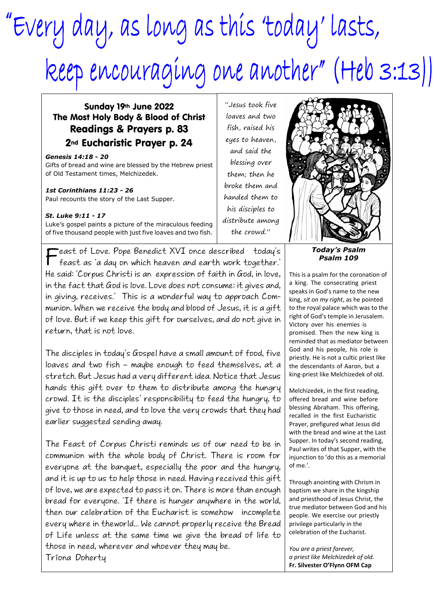## "Every day, as long as this 'today' lasts, Reep encouraging one another" (Heb 3:13))

## Sunday 19th June 2022 The Most Holy Body & Blood of Christ Readings & Prayers p. 83 2nd Eucharistic Prayer p. 24

*Genesis 14:18 - 20* Gifts of bread and wine are blessed by the Hebrew priest of Old Testament times, Melchizedek.

## *1st Corinthians 11:23 - 26*

Paul recounts the story of the Last Supper.

## *St. Luke 9:11 - 17*

Luke's gospel paints a picture of the miraculous feeding of five thousand people with just five loaves and two fish.

F feast as 'a day on which heaven and earth work together.' **Feast of Love. Pope Benedict XVI once described today's** He said: 'Corpus Christi is an expression of faith in God, in love, in the fact that God is love. Love does not consume: it gives and, in giving, receives.' This is a wonderful way to approach Communion. When we receive the body and blood of Jesus, it is a gift of love. But if we keep this gift for ourselves, and do not give in return, that is not love.

The disciples in today's Gospel have a small amount of food, five loaves and two fish – maybe enough to feed themselves, at a stretch. But Jesus had a very different idea. Notice that Jesus hands this gift over to them to distribute among the hungry crowd. It is the disciples' responsibility to feed the hungry, to give to those in need, and to love the very crowds that they had earlier suggested sending away.

The Feast of Corpus Christi reminds us of our need to be in communion with the whole body of Christ. There is room for everyone at the banquet, especially the poor and the hungry, and it is up to us to help those in need. Having received this gift of love, we are expected to pass it on. There is more than enough bread for everyone. 'If there is hunger anywhere in the world, then our celebration of the Eucharist is somehow incomplete every where in theworld... We cannot properly receive the Bread of Life unless at the same time we give the bread of life to those in need, wherever and whoever they may be. Tríona Doherty

"Jesus took five loaves and two fish, raised his eyes to heaven, and said the blessing over them; then he broke them and handed them to his disciples to distribute among the crowd."



*Today's Psalm Psalm 109*

This is a psalm for the coronation of a king. The consecrating priest speaks in God's name to the new king, *sit on my right*, as he pointed to the royal palace which was to the right of God's temple in Jerusalem. Victory over his enemies is promised. Then the new king is reminded that as mediator between God and his people, his role is priestly. He is not a cultic priest like the descendants of Aaron, but a king-priest like Melchizedek of old.

Melchizedek, in the first reading, offered bread and wine before blessing Abraham. This offering, recalled in the first Eucharistic Prayer, prefigured what Jesus did with the bread and wine at the Last Supper. In today's second reading, Paul writes of that Supper, with the injunction to 'do this as a memorial of me.'.

Through anointing with Chrism in baptism we share in the kingship and priesthood of Jesus Christ, the true mediator between God and his people. We exercise our priestly privilege particularly in the celebration of the Eucharist.

*You are a priest forever, a priest like Melchizedek of old.* **Fr. Silvester O'Flynn OFM Cap**